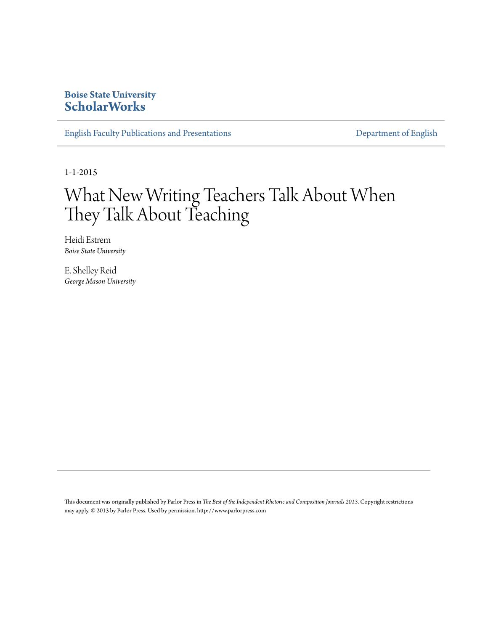### **Boise State University [ScholarWorks](https://scholarworks.boisestate.edu)**

[English Faculty Publications and Presentations](https://scholarworks.boisestate.edu/english_facpubs) **[Department of English](https://scholarworks.boisestate.edu/english)** 

1-1-2015

# What New Writing Teachers Talk About When They Talk About Teaching

Heidi Estrem *Boise State University*

E. Shelley Reid *George Mason University*

This document was originally published by Parlor Press in *The Best of the Independent Rhetoric and Composition Journals 2013*. Copyright restrictions may apply. © 2013 by Parlor Press. Used by permission. http://www.parlorpress.com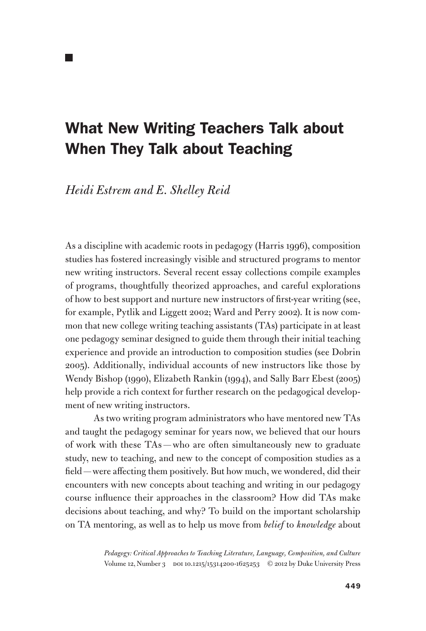## What New Writing Teachers Talk about When They Talk about Teaching

*Heidi Estrem and E. Shelley Reid*

П

As a discipline with academic roots in pedagogy (Harris 1996), composition studies has fostered increasingly visible and structured programs to mentor new writing instructors. Several recent essay collections compile examples of programs, thoughtfully theorized approaches, and careful explorations of how to best support and nurture new instructors of first-year writing (see, for example, Pytlik and Liggett 2002; Ward and Perry 2002). It is now common that new college writing teaching assistants (TAs) participate in at least one pedagogy seminar designed to guide them through their initial teaching experience and provide an introduction to composition studies (see Dobrin 2005). Additionally, individual accounts of new instructors like those by Wendy Bishop (1990), Elizabeth Rankin (1994), and Sally Barr Ebest (2005) help provide a rich context for further research on the pedagogical development of new writing instructors.

As two writing program administrators who have mentored new TAs and taught the pedagogy seminar for years now, we believed that our hours of work with these TAs—who are often simultaneously new to graduate study, new to teaching, and new to the concept of composition studies as a field—were affecting them positively. But how much, we wondered, did their encounters with new concepts about teaching and writing in our pedagogy course influence their approaches in the classroom? How did TAs make decisions about teaching, and why? To build on the important scholarship on TA mentoring, as well as to help us move from *belief* to *knowledge* about

> *Pedagogy: Critical Approaches to Teaching Literature, Language, Composition, and Culture* Volume 12, Number 3 DOI 10.1215/15314200-1625253 © 2012 by Duke University Press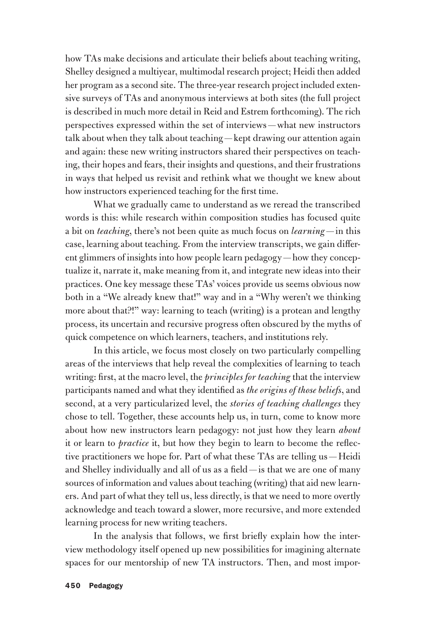how TAs make decisions and articulate their beliefs about teaching writing, Shelley designed a multiyear, multimodal research project; Heidi then added her program as a second site. The three-year research project included extensive surveys of TAs and anonymous interviews at both sites (the full project is described in much more detail in Reid and Estrem forthcoming). The rich perspectives expressed within the set of interviews—what new instructors talk about when they talk about teaching—kept drawing our attention again and again: these new writing instructors shared their perspectives on teaching, their hopes and fears, their insights and questions, and their frustrations in ways that helped us revisit and rethink what we thought we knew about how instructors experienced teaching for the first time.

What we gradually came to understand as we reread the transcribed words is this: while research within composition studies has focused quite a bit on *teaching*, there's not been quite as much focus on *learning*—in this case, learning about teaching. From the interview transcripts, we gain different glimmers of insights into how people learn pedagogy—how they conceptualize it, narrate it, make meaning from it, and integrate new ideas into their practices. One key message these TAs' voices provide us seems obvious now both in a "We already knew that!" way and in a "Why weren't we thinking more about that?!" way: learning to teach (writing) is a protean and lengthy process, its uncertain and recursive progress often obscured by the myths of quick competence on which learners, teachers, and institutions rely.

In this article, we focus most closely on two particularly compelling areas of the interviews that help reveal the complexities of learning to teach writing: first, at the macro level, the *principles for teaching* that the interview participants named and what they identified as *the origins of those beliefs*, and second, at a very particularized level, the *stories of teaching challenges* they chose to tell. Together, these accounts help us, in turn, come to know more about how new instructors learn pedagogy: not just how they learn *about*  it or learn to *practice* it, but how they begin to learn to become the reflective practitioners we hope for. Part of what these TAs are telling us—Heidi and Shelley individually and all of us as a field—is that we are one of many sources of information and values about teaching (writing) that aid new learners. And part of what they tell us, less directly, is that we need to more overtly acknowledge and teach toward a slower, more recursive, and more extended learning process for new writing teachers.

In the analysis that follows, we first briefly explain how the interview methodology itself opened up new possibilities for imagining alternate spaces for our mentorship of new TA instructors. Then, and most impor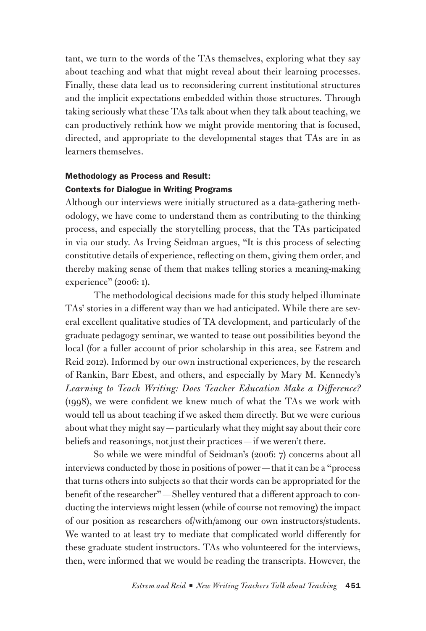tant, we turn to the words of the TAs themselves, exploring what they say about teaching and what that might reveal about their learning processes. Finally, these data lead us to reconsidering current institutional structures and the implicit expectations embedded within those structures. Through taking seriously what these TAs talk about when they talk about teaching, we can productively rethink how we might provide mentoring that is focused, directed, and appropriate to the developmental stages that TAs are in as learners themselves.

#### Methodology as Process and Result: Contexts for Dialogue in Writing Programs

Although our interviews were initially structured as a data-gathering methodology, we have come to understand them as contributing to the thinking process, and especially the storytelling process, that the TAs participated in via our study. As Irving Seidman argues, "It is this process of selecting constitutive details of experience, reflecting on them, giving them order, and thereby making sense of them that makes telling stories a meaning-making experience" (2006: 1).

The methodological decisions made for this study helped illuminate TAs' stories in a different way than we had anticipated. While there are several excellent qualitative studies of TA development, and particularly of the graduate pedagogy seminar, we wanted to tease out possibilities beyond the local (for a fuller account of prior scholarship in this area, see Estrem and Reid 2012). Informed by our own instructional experiences, by the research of Rankin, Barr Ebest, and others, and especially by Mary M. Kennedy's *Learning to Teach Writing: Does Teacher Education Make a Difference?* (1998), we were confident we knew much of what the TAs we work with would tell us about teaching if we asked them directly. But we were curious about what they might say—particularly what they might say about their core beliefs and reasonings, not just their practices—if we weren't there.

So while we were mindful of Seidman's (2006: 7) concerns about all interviews conducted by those in positions of power—that it can be a "process that turns others into subjects so that their words can be appropriated for the benefit of the researcher"—Shelley ventured that a different approach to conducting the interviews might lessen (while of course not removing) the impact of our position as researchers of/with/among our own instructors/students. We wanted to at least try to mediate that complicated world differently for these graduate student instructors. TAs who volunteered for the interviews, then, were informed that we would be reading the transcripts. However, the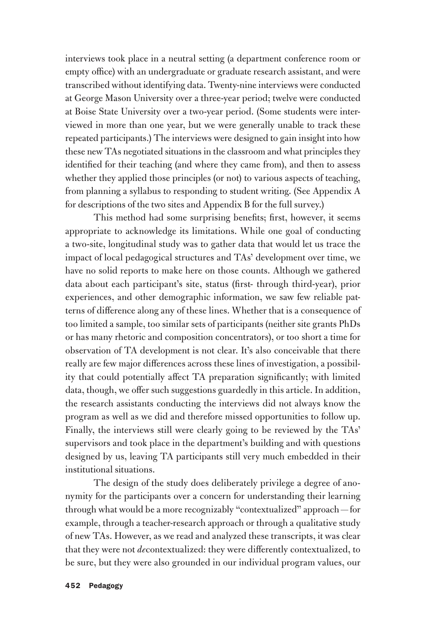interviews took place in a neutral setting (a department conference room or empty office) with an undergraduate or graduate research assistant, and were transcribed without identifying data. Twenty-nine interviews were conducted at George Mason University over a three-year period; twelve were conducted at Boise State University over a two-year period. (Some students were interviewed in more than one year, but we were generally unable to track these repeated participants.) The interviews were designed to gain insight into how these new TAs negotiated situations in the classroom and what principles they identified for their teaching (and where they came from), and then to assess whether they applied those principles (or not) to various aspects of teaching, from planning a syllabus to responding to student writing. (See Appendix A for descriptions of the two sites and Appendix B for the full survey.)

This method had some surprising benefits; first, however, it seems appropriate to acknowledge its limitations. While one goal of conducting a two-site, longitudinal study was to gather data that would let us trace the impact of local pedagogical structures and TAs' development over time, we have no solid reports to make here on those counts. Although we gathered data about each participant's site, status (first- through third-year), prior experiences, and other demographic information, we saw few reliable patterns of difference along any of these lines. Whether that is a consequence of too limited a sample, too similar sets of participants (neither site grants PhDs or has many rhetoric and composition concentrators), or too short a time for observation of TA development is not clear. It's also conceivable that there really are few major differences across these lines of investigation, a possibility that could potentially affect TA preparation significantly; with limited data, though, we offer such suggestions guardedly in this article. In addition, the research assistants conducting the interviews did not always know the program as well as we did and therefore missed opportunities to follow up. Finally, the interviews still were clearly going to be reviewed by the TAs' supervisors and took place in the department's building and with questions designed by us, leaving TA participants still very much embedded in their institutional situations.

The design of the study does deliberately privilege a degree of anonymity for the participants over a concern for understanding their learning through what would be a more recognizably "contextualized" approach—for example, through a teacher-research approach or through a qualitative study of new TAs. However, as we read and analyzed these transcripts, it was clear that they were not *de*contextualized: they were differently contextualized, to be sure, but they were also grounded in our individual program values, our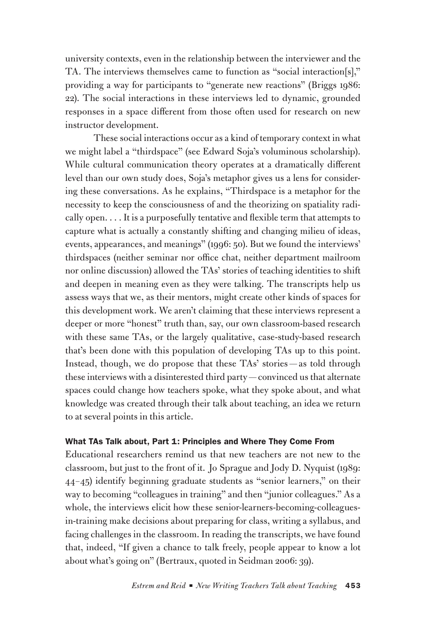university contexts, even in the relationship between the interviewer and the TA. The interviews themselves came to function as "social interaction[s]," providing a way for participants to "generate new reactions" (Briggs 1986: 22). The social interactions in these interviews led to dynamic, grounded responses in a space different from those often used for research on new instructor development.

These social interactions occur as a kind of temporary context in what we might label a "thirdspace" (see Edward Soja's voluminous scholarship). While cultural communication theory operates at a dramatically different level than our own study does, Soja's metaphor gives us a lens for considering these conversations. As he explains, "Thirdspace is a metaphor for the necessity to keep the consciousness of and the theorizing on spatiality radically open. . . . It is a purposefully tentative and flexible term that attempts to capture what is actually a constantly shifting and changing milieu of ideas, events, appearances, and meanings" (1996: 50). But we found the interviews' thirdspaces (neither seminar nor office chat, neither department mailroom nor online discussion) allowed the TAs' stories of teaching identities to shift and deepen in meaning even as they were talking. The transcripts help us assess ways that we, as their mentors, might create other kinds of spaces for this development work. We aren't claiming that these interviews represent a deeper or more "honest" truth than, say, our own classroom-based research with these same TAs, or the largely qualitative, case-study-based research that's been done with this population of developing TAs up to this point. Instead, though, we do propose that these TAs' stories—as told through these interviews with a disinterested third party—convinced us that alternate spaces could change how teachers spoke, what they spoke about, and what knowledge was created through their talk about teaching, an idea we return to at several points in this article.

#### What TAs Talk about, Part 1: Principles and Where They Come From

Educational researchers remind us that new teachers are not new to the classroom, but just to the front of it. Jo Sprague and Jody D. Nyquist (1989: 44–45) identify beginning graduate students as "senior learners," on their way to becoming "colleagues in training" and then "junior colleagues." As a whole, the interviews elicit how these senior-learners-becoming-colleaguesin-training make decisions about preparing for class, writing a syllabus, and facing challenges in the classroom. In reading the transcripts, we have found that, indeed, "If given a chance to talk freely, people appear to know a lot about what's going on" (Bertraux, quoted in Seidman 2006: 39).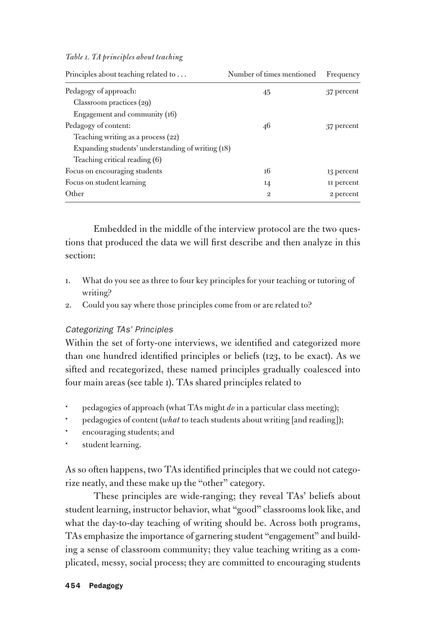*Table 1. TA principles about teaching*

| Principles about teaching related to              | Number of times mentioned | Frequency  |  |
|---------------------------------------------------|---------------------------|------------|--|
| Pedagogy of approach:                             | 45                        | 37 percent |  |
| Classroom practices (29)                          |                           |            |  |
| Engagement and community (16)                     |                           |            |  |
| Pedagogy of content:                              | 46                        | 37 percent |  |
| Teaching writing as a process (22)                |                           |            |  |
| Expanding students' understanding of writing (18) |                           |            |  |
| Teaching critical reading (6)                     |                           |            |  |
| Focus on encouraging students                     | 16                        | 13 percent |  |
| Focus on student learning                         | 14                        | 11 percent |  |
| Other                                             | $\overline{2}$            | 2 percent  |  |
|                                                   |                           |            |  |

Embedded in the middle of the interview protocol are the two questions that produced the data we will first describe and then analyze in this section:

- 1. What do you see as three to four key principles for your teaching or tutoring of writing?
- 2. Could you say where those principles come from or are related to?

#### *Categorizing TAs' Principles*

Within the set of forty-one interviews, we identified and categorized more than one hundred identified principles or beliefs (123, to be exact). As we sifted and recategorized, these named principles gradually coalesced into four main areas (see table 1). TAs shared principles related to

- pedagogies of approach (what TAs might *do* in a particular class meeting);
- pedagogies of content (*what* to teach students about writing [and reading]);
- encouraging students; and
- student learning.

As so often happens, two TAs identified principles that we could not categorize neatly, and these make up the "other" category.

These principles are wide-ranging; they reveal TAs' beliefs about student learning, instructor behavior, what "good" classrooms look like, and what the day-to-day teaching of writing should be. Across both programs, TAs emphasize the importance of garnering student "engagement" and building a sense of classroom community; they value teaching writing as a complicated, messy, social process; they are committed to encouraging students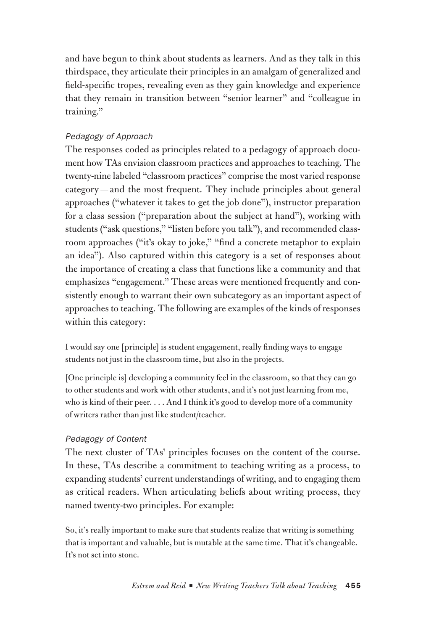and have begun to think about students as learners. And as they talk in this thirdspace, they articulate their principles in an amalgam of generalized and field-specific tropes, revealing even as they gain knowledge and experience that they remain in transition between "senior learner" and "colleague in training."

#### *Pedagogy of Approach*

The responses coded as principles related to a pedagogy of approach document how TAs envision classroom practices and approaches to teaching. The twenty-nine labeled "classroom practices" comprise the most varied response category—and the most frequent. They include principles about general approaches ("whatever it takes to get the job done"), instructor preparation for a class session ("preparation about the subject at hand"), working with students ("ask questions," "listen before you talk"), and recommended classroom approaches ("it's okay to joke," "find a concrete metaphor to explain an idea"). Also captured within this category is a set of responses about the importance of creating a class that functions like a community and that emphasizes "engagement." These areas were mentioned frequently and consistently enough to warrant their own subcategory as an important aspect of approaches to teaching. The following are examples of the kinds of responses within this category:

I would say one [principle] is student engagement, really finding ways to engage students not just in the classroom time, but also in the projects.

[One principle is] developing a community feel in the classroom, so that they can go to other students and work with other students, and it's not just learning from me, who is kind of their peer. . . . And I think it's good to develop more of a community of writers rather than just like student/teacher.

#### *Pedagogy of Content*

The next cluster of TAs' principles focuses on the content of the course. In these, TAs describe a commitment to teaching writing as a process, to expanding students' current understandings of writing, and to engaging them as critical readers. When articulating beliefs about writing process, they named twenty-two principles. For example:

So, it's really important to make sure that students realize that writing is something that is important and valuable, but is mutable at the same time. That it's changeable. It's not set into stone.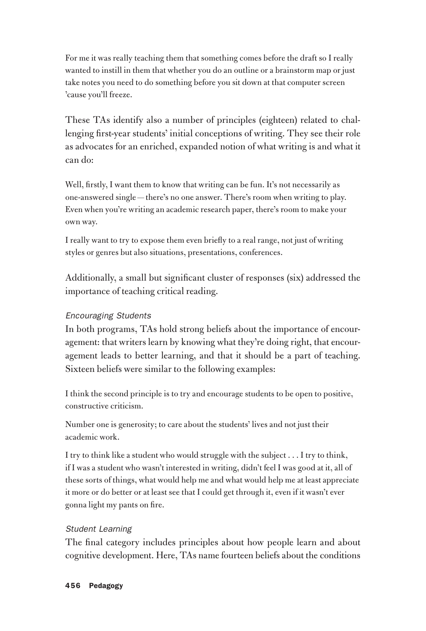For me it was really teaching them that something comes before the draft so I really wanted to instill in them that whether you do an outline or a brainstorm map or just take notes you need to do something before you sit down at that computer screen 'cause you'll freeze.

These TAs identify also a number of principles (eighteen) related to challenging first-year students' initial conceptions of writing. They see their role as advocates for an enriched, expanded notion of what writing is and what it can do:

Well, firstly, I want them to know that writing can be fun. It's not necessarily as one-answered single—there's no one answer. There's room when writing to play. Even when you're writing an academic research paper, there's room to make your own way.

I really want to try to expose them even briefly to a real range, not just of writing styles or genres but also situations, presentations, conferences.

Additionally, a small but significant cluster of responses (six) addressed the importance of teaching critical reading.

#### *Encouraging Students*

In both programs, TAs hold strong beliefs about the importance of encouragement: that writers learn by knowing what they're doing right, that encouragement leads to better learning, and that it should be a part of teaching. Sixteen beliefs were similar to the following examples:

I think the second principle is to try and encourage students to be open to positive, constructive criticism.

Number one is generosity; to care about the students' lives and not just their academic work.

I try to think like a student who would struggle with the subject . . . I try to think, if I was a student who wasn't interested in writing, didn't feel I was good at it, all of these sorts of things, what would help me and what would help me at least appreciate it more or do better or at least see that I could get through it, even if it wasn't ever gonna light my pants on fire.

#### *Student Learning*

The final category includes principles about how people learn and about cognitive development. Here, TAs name fourteen beliefs about the conditions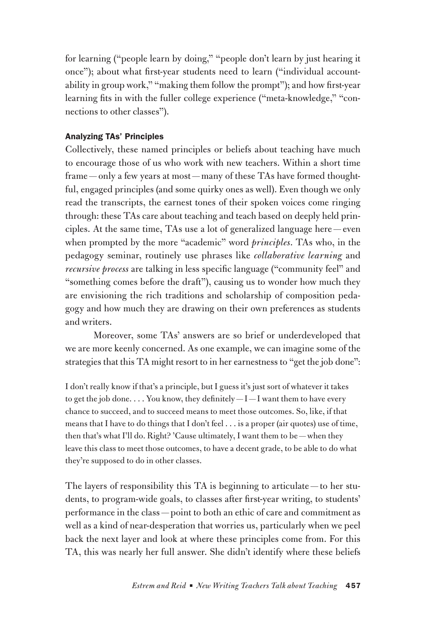for learning ("people learn by doing," "people don't learn by just hearing it once"); about what first-year students need to learn ("individual accountability in group work," "making them follow the prompt"); and how first-year learning fits in with the fuller college experience ("meta-knowledge," "connections to other classes").

#### Analyzing TAs' Principles

Collectively, these named principles or beliefs about teaching have much to encourage those of us who work with new teachers. Within a short time frame—only a few years at most—many of these TAs have formed thoughtful, engaged principles (and some quirky ones as well). Even though we only read the transcripts, the earnest tones of their spoken voices come ringing through: these TAs care about teaching and teach based on deeply held principles. At the same time, TAs use a lot of generalized language here —even when prompted by the more "academic" word *principles*. TAs who, in the pedagogy seminar, routinely use phrases like *collaborative learning* and *recursive process* are talking in less specific language ("community feel" and "something comes before the draft"), causing us to wonder how much they are envisioning the rich traditions and scholarship of composition pedagogy and how much they are drawing on their own preferences as students and writers.

Moreover, some TAs' answers are so brief or underdeveloped that we are more keenly concerned. As one example, we can imagine some of the strategies that this TA might resort to in her earnestness to "get the job done":

I don't really know if that's a principle, but I guess it's just sort of whatever it takes to get the job done.... You know, they definitely  $-I-I$  want them to have every chance to succeed, and to succeed means to meet those outcomes. So, like, if that means that I have to do things that I don't feel . . . is a proper (air quotes) use of time, then that's what I'll do. Right? 'Cause ultimately, I want them to be—when they leave this class to meet those outcomes, to have a decent grade, to be able to do what they're supposed to do in other classes.

The layers of responsibility this TA is beginning to articulate—to her students, to program-wide goals, to classes after first-year writing, to students' performance in the class—point to both an ethic of care and commitment as well as a kind of near-desperation that worries us, particularly when we peel back the next layer and look at where these principles come from. For this TA, this was nearly her full answer. She didn't identify where these beliefs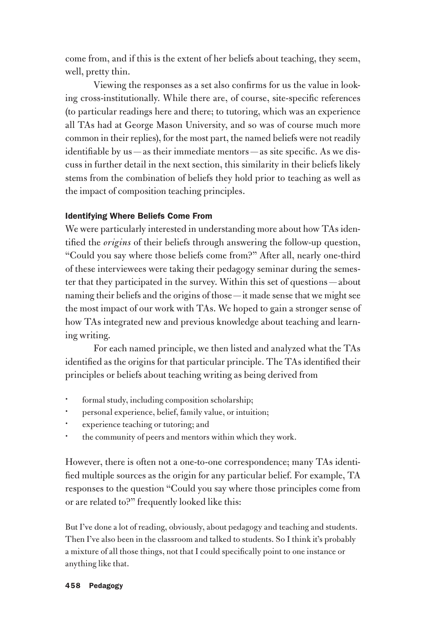come from, and if this is the extent of her beliefs about teaching, they seem, well, pretty thin.

Viewing the responses as a set also confirms for us the value in looking cross-institutionally. While there are, of course, site-specific references (to particular readings here and there; to tutoring, which was an experience all TAs had at George Mason University, and so was of course much more common in their replies), for the most part, the named beliefs were not readily identifiable by us—as their immediate mentors—as site specific. As we discuss in further detail in the next section, this similarity in their beliefs likely stems from the combination of beliefs they hold prior to teaching as well as the impact of composition teaching principles.

#### Identifying Where Beliefs Come From

We were particularly interested in understanding more about how TAs identified the *origins* of their beliefs through answering the follow-up question, "Could you say where those beliefs come from?" After all, nearly one-third of these interviewees were taking their pedagogy seminar during the semester that they participated in the survey. Within this set of questions—about naming their beliefs and the origins of those—it made sense that we might see the most impact of our work with TAs. We hoped to gain a stronger sense of how TAs integrated new and previous knowledge about teaching and learning writing.

For each named principle, we then listed and analyzed what the TAs identified as the origins for that particular principle. The TAs identified their principles or beliefs about teaching writing as being derived from

- formal study, including composition scholarship;
- personal experience, belief, family value, or intuition;
- experience teaching or tutoring; and
- the community of peers and mentors within which they work.

However, there is often not a one-to-one correspondence; many TAs identified multiple sources as the origin for any particular belief. For example, TA responses to the question "Could you say where those principles come from or are related to?" frequently looked like this:

But I've done a lot of reading, obviously, about pedagogy and teaching and students. Then I've also been in the classroom and talked to students. So I think it's probably a mixture of all those things, not that I could specifically point to one instance or anything like that.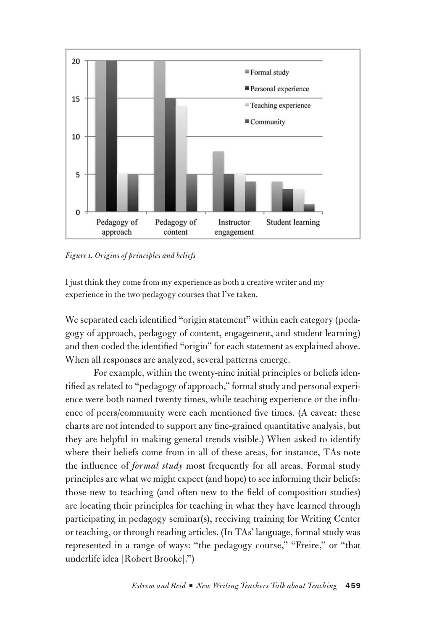

*Figure 1. Origins of principles and beliefs*

I just think they come from my experience as both a creative writer and my experience in the two pedagogy courses that I've taken.

We separated each identified "origin statement" within each category (pedagogy of approach, pedagogy of content, engagement, and student learning) and then coded the identified "origin" for each statement as explained above. When all responses are analyzed, several patterns emerge.

For example, within the twenty-nine initial principles or beliefs identified as related to "pedagogy of approach," formal study and personal experience were both named twenty times, while teaching experience or the influence of peers/community were each mentioned five times. (A caveat: these charts are not intended to support any fine-grained quantitative analysis, but they are helpful in making general trends visible.) When asked to identify where their beliefs come from in all of these areas, for instance, TAs note the influence of *formal study* most frequently for all areas. Formal study principles are what we might expect (and hope) to see informing their beliefs: those new to teaching (and often new to the field of composition studies) are locating their principles for teaching in what they have learned through participating in pedagogy seminar(s), receiving training for Writing Center or teaching, or through reading articles. (In TAs' language, formal study was represented in a range of ways: "the pedagogy course," "Freire," or "that underlife idea [Robert Brooke].")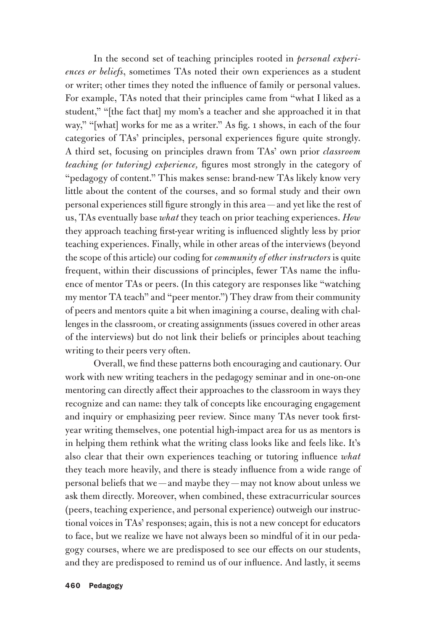In the second set of teaching principles rooted in *personal experiences or beliefs*, sometimes TAs noted their own experiences as a student or writer; other times they noted the influence of family or personal values. For example, TAs noted that their principles came from "what I liked as a student," "[the fact that] my mom's a teacher and she approached it in that way," "[what] works for me as a writer." As fig. 1 shows, in each of the four categories of TAs' principles, personal experiences figure quite strongly. A third set, focusing on principles drawn from TAs' own prior *classroom teaching (or tutoring) experience,* figures most strongly in the category of "pedagogy of content." This makes sense: brand-new TAs likely know very little about the content of the courses, and so formal study and their own personal experiences still figure strongly in this area—and yet like the rest of us, TAs eventually base *what* they teach on prior teaching experiences. *How* they approach teaching first-year writing is influenced slightly less by prior teaching experiences. Finally, while in other areas of the interviews (beyond the scope of this article) our coding for *community of other instructors* is quite frequent, within their discussions of principles, fewer TAs name the influence of mentor TAs or peers. (In this category are responses like "watching my mentor TA teach" and "peer mentor.") They draw from their community of peers and mentors quite a bit when imagining a course, dealing with challenges in the classroom, or creating assignments (issues covered in other areas of the interviews) but do not link their beliefs or principles about teaching writing to their peers very often.

Overall, we find these patterns both encouraging and cautionary. Our work with new writing teachers in the pedagogy seminar and in one-on-one mentoring can directly affect their approaches to the classroom in ways they recognize and can name: they talk of concepts like encouraging engagement and inquiry or emphasizing peer review. Since many TAs never took firstyear writing themselves, one potential high-impact area for us as mentors is in helping them rethink what the writing class looks like and feels like. It's also clear that their own experiences teaching or tutoring influence *what* they teach more heavily, and there is steady influence from a wide range of personal beliefs that we—and maybe they—may not know about unless we ask them directly. Moreover, when combined, these extracurricular sources (peers, teaching experience, and personal experience) outweigh our instructional voices in TAs' responses; again, this is not a new concept for educators to face, but we realize we have not always been so mindful of it in our pedagogy courses, where we are predisposed to see our effects on our students, and they are predisposed to remind us of our influence. And lastly, it seems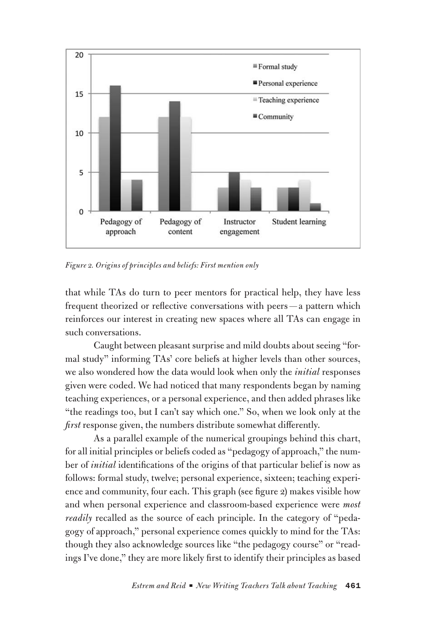

*Figure 2. Origins of principles and beliefs: First mention only*

that while TAs do turn to peer mentors for practical help, they have less frequent theorized or reflective conversations with peers—a pattern which reinforces our interest in creating new spaces where all TAs can engage in such conversations.

Caught between pleasant surprise and mild doubts about seeing "formal study" informing TAs' core beliefs at higher levels than other sources, we also wondered how the data would look when only the *initial* responses given were coded. We had noticed that many respondents began by naming teaching experiences, or a personal experience, and then added phrases like "the readings too, but I can't say which one." So, when we look only at the *first* response given, the numbers distribute somewhat differently.

As a parallel example of the numerical groupings behind this chart, for all initial principles or beliefs coded as "pedagogy of approach," the number of *initial* identifications of the origins of that particular belief is now as follows: formal study, twelve; personal experience, sixteen; teaching experience and community, four each. This graph (see figure 2) makes visible how and when personal experience and classroom-based experience were *most readily* recalled as the source of each principle. In the category of "pedagogy of approach," personal experience comes quickly to mind for the TAs: though they also acknowledge sources like "the pedagogy course" or "readings I've done," they are more likely first to identify their principles as based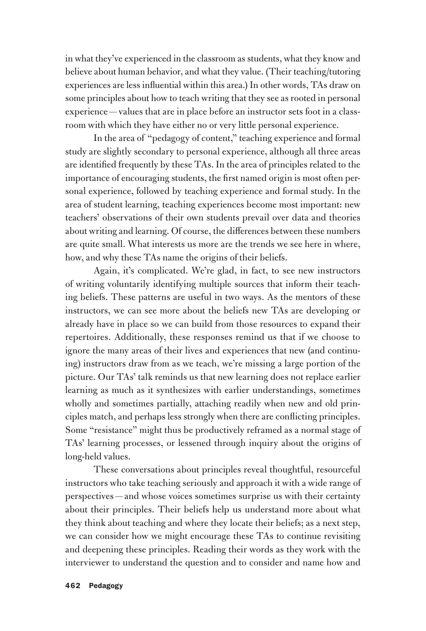in what they've experienced in the classroom as students, what they know and believe about human behavior, and what they value. (Their teaching/tutoring experiences are less influential within this area.) In other words, TAs draw on some principles about how to teach writing that they see as rooted in personal experience—values that are in place before an instructor sets foot in a classroom with which they have either no or very little personal experience.

In the area of "pedagogy of content," teaching experience and formal study are slightly secondary to personal experience, although all three areas are identified frequently by these TAs. In the area of principles related to the importance of encouraging students, the first named origin is most often personal experience, followed by teaching experience and formal study. In the area of student learning, teaching experiences become most important: new teachers' observations of their own students prevail over data and theories about writing and learning. Of course, the differences between these numbers are quite small. What interests us more are the trends we see here in where, how, and why these TAs name the origins of their beliefs.

Again, it's complicated. We're glad, in fact, to see new instructors of writing voluntarily identifying multiple sources that inform their teaching beliefs. These patterns are useful in two ways. As the mentors of these instructors, we can see more about the beliefs new TAs are developing or already have in place so we can build from those resources to expand their repertoires. Additionally, these responses remind us that if we choose to ignore the many areas of their lives and experiences that new (and continuing) instructors draw from as we teach, we're missing a large portion of the picture. Our TAs' talk reminds us that new learning does not replace earlier learning as much as it synthesizes with earlier understandings, sometimes wholly and sometimes partially, attaching readily when new and old principles match, and perhaps less strongly when there are conflicting principles. Some "resistance" might thus be productively reframed as a normal stage of TAs' learning processes, or lessened through inquiry about the origins of long-held values.

These conversations about principles reveal thoughtful, resourceful instructors who take teaching seriously and approach it with a wide range of perspectives—and whose voices sometimes surprise us with their certainty about their principles. Their beliefs help us understand more about what they think about teaching and where they locate their beliefs; as a next step, we can consider how we might encourage these TAs to continue revisiting and deepening these principles. Reading their words as they work with the interviewer to understand the question and to consider and name how and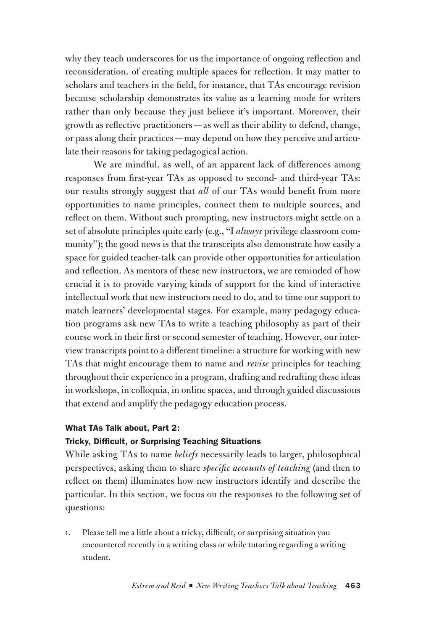why they teach underscores for us the importance of ongoing reflection and reconsideration, of creating multiple spaces for reflection. It may matter to scholars and teachers in the field, for instance, that TAs encourage revision because scholarship demonstrates its value as a learning mode for writers rather than only because they just believe it's important. Moreover, their growth as reflective practitioners—as well as their ability to defend, change, or pass along their practices—may depend on how they perceive and articulate their reasons for taking pedagogical action.

We are mindful, as well, of an apparent lack of differences among responses from first-year TAs as opposed to second- and third-year TAs: our results strongly suggest that *all* of our TAs would benefit from more opportunities to name principles, connect them to multiple sources, and reflect on them. Without such prompting, new instructors might settle on a set of absolute principles quite early (e.g., "I *always* privilege classroom community"); the good news is that the transcripts also demonstrate how easily a space for guided teacher-talk can provide other opportunities for articulation and reflection. As mentors of these new instructors, we are reminded of how crucial it is to provide varying kinds of support for the kind of interactive intellectual work that new instructors need to do, and to time our support to match learners' developmental stages. For example, many pedagogy education programs ask new TAs to write a teaching philosophy as part of their course work in their first or second semester of teaching. However, our interview transcripts point to a different timeline: a structure for working with new TAs that might encourage them to name and *revise* principles for teaching throughout their experience in a program, drafting and redrafting these ideas in workshops, in colloquia, in online spaces, and through guided discussions that extend and amplify the pedagogy education process.

#### What TAs Talk about, Part 2:

#### Tricky, Difficult, or Surprising Teaching Situations

While asking TAs to name *beliefs* necessarily leads to larger, philosophical perspectives, asking them to share *specific accounts of teaching* (and then to reflect on them) illuminates how new instructors identify and describe the particular. In this section, we focus on the responses to the following set of questions:

1. Please tell me a little about a tricky, difficult, or surprising situation you encountered recently in a writing class or while tutoring regarding a writing student.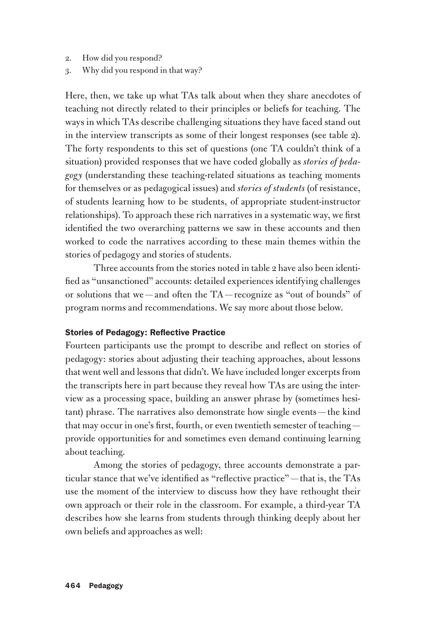- 2. How did you respond?
- 3. Why did you respond in that way?

Here, then, we take up what TAs talk about when they share anecdotes of teaching not directly related to their principles or beliefs for teaching. The ways in which TAs describe challenging situations they have faced stand out in the interview transcripts as some of their longest responses (see table 2). The forty respondents to this set of questions (one TA couldn't think of a situation) provided responses that we have coded globally as *stories of pedagogy* (understanding these teaching-related situations as teaching moments for themselves or as pedagogical issues) and *stories of students* (of resistance, of students learning how to be students, of appropriate student-instructor relationships). To approach these rich narratives in a systematic way, we first identified the two overarching patterns we saw in these accounts and then worked to code the narratives according to these main themes within the stories of pedagogy and stories of students.

Three accounts from the stories noted in table 2 have also been identified as "unsanctioned" accounts: detailed experiences identifying challenges or solutions that we—and often the TA—recognize as "out of bounds" of program norms and recommendations. We say more about those below.

#### Stories of Pedagogy: Reflective Practice

Fourteen participants use the prompt to describe and reflect on stories of pedagogy: stories about adjusting their teaching approaches, about lessons that went well and lessons that didn't. We have included longer excerpts from the transcripts here in part because they reveal how TAs are using the interview as a processing space, building an answer phrase by (sometimes hesitant) phrase. The narratives also demonstrate how single events—the kind that may occur in one's first, fourth, or even twentieth semester of teaching provide opportunities for and sometimes even demand continuing learning about teaching.

Among the stories of pedagogy, three accounts demonstrate a particular stance that we've identified as "reflective practice"—that is, the TAs use the moment of the interview to discuss how they have rethought their own approach or their role in the classroom. For example, a third-year TA describes how she learns from students through thinking deeply about her own beliefs and approaches as well: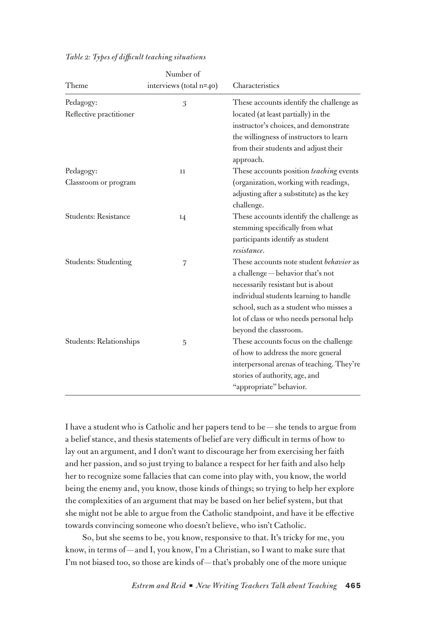| These accounts identify the challenge as                                   |
|----------------------------------------------------------------------------|
|                                                                            |
| instructor's choices, and demonstrate                                      |
| the willingness of instructors to learn                                    |
|                                                                            |
|                                                                            |
| These accounts position <i>teaching</i> events                             |
| (organization, working with readings,                                      |
| adjusting after a substitute) as the key                                   |
|                                                                            |
| These accounts identify the challenge as                                   |
|                                                                            |
|                                                                            |
|                                                                            |
| These accounts note student <i>behavior</i> as                             |
|                                                                            |
|                                                                            |
| individual students learning to handle                                     |
| school, such as a student who misses a                                     |
| lot of class or who needs personal help                                    |
|                                                                            |
| These accounts focus on the challenge                                      |
|                                                                            |
| interpersonal arenas of teaching. They're                                  |
|                                                                            |
|                                                                            |
| from their students and adjust their<br>of how to address the more general |

#### *Table 2: Types of difficult teaching situations*

I have a student who is Catholic and her papers tend to be—she tends to argue from a belief stance, and thesis statements of belief are very difficult in terms of how to lay out an argument, and I don't want to discourage her from exercising her faith and her passion, and so just trying to balance a respect for her faith and also help her to recognize some fallacies that can come into play with, you know, the world being the enemy and, you know, those kinds of things; so trying to help her explore the complexities of an argument that may be based on her belief system, but that she might not be able to argue from the Catholic standpoint, and have it be effective towards convincing someone who doesn't believe, who isn't Catholic.

So, but she seems to be, you know, responsive to that. It's tricky for me, you know, in terms of—and I, you know, I'm a Christian, so I want to make sure that I'm not biased too, so those are kinds of—that's probably one of the more unique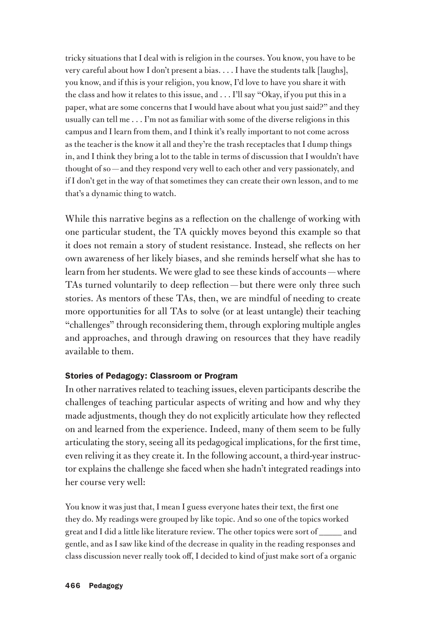tricky situations that I deal with is religion in the courses. You know, you have to be very careful about how I don't present a bias. . . . I have the students talk [laughs], you know, and if this is your religion, you know, I'd love to have you share it with the class and how it relates to this issue, and  $\ldots$  I'll say "Okay, if you put this in a paper, what are some concerns that I would have about what you just said?" and they usually can tell me . . . I'm not as familiar with some of the diverse religions in this campus and I learn from them, and I think it's really important to not come across as the teacher is the know it all and they're the trash receptacles that I dump things in, and I think they bring a lot to the table in terms of discussion that I wouldn't have thought of so—and they respond very well to each other and very passionately, and if I don't get in the way of that sometimes they can create their own lesson, and to me that's a dynamic thing to watch.

While this narrative begins as a reflection on the challenge of working with one particular student, the TA quickly moves beyond this example so that it does not remain a story of student resistance. Instead, she reflects on her own awareness of her likely biases, and she reminds herself what she has to learn from her students. We were glad to see these kinds of accounts —where TAs turned voluntarily to deep reflection—but there were only three such stories. As mentors of these TAs, then, we are mindful of needing to create more opportunities for all TAs to solve (or at least untangle) their teaching "challenges" through reconsidering them, through exploring multiple angles and approaches, and through drawing on resources that they have readily available to them.

#### Stories of Pedagogy: Classroom or Program

In other narratives related to teaching issues, eleven participants describe the challenges of teaching particular aspects of writing and how and why they made adjustments, though they do not explicitly articulate how they reflected on and learned from the experience. Indeed, many of them seem to be fully articulating the story, seeing all its pedagogical implications, for the first time, even reliving it as they create it. In the following account, a third-year instructor explains the challenge she faced when she hadn't integrated readings into her course very well:

You know it was just that, I mean I guess everyone hates their text, the first one they do. My readings were grouped by like topic. And so one of the topics worked great and I did a little like literature review. The other topics were sort of \_\_\_\_\_ and gentle, and as I saw like kind of the decrease in quality in the reading responses and class discussion never really took off, I decided to kind of just make sort of a organic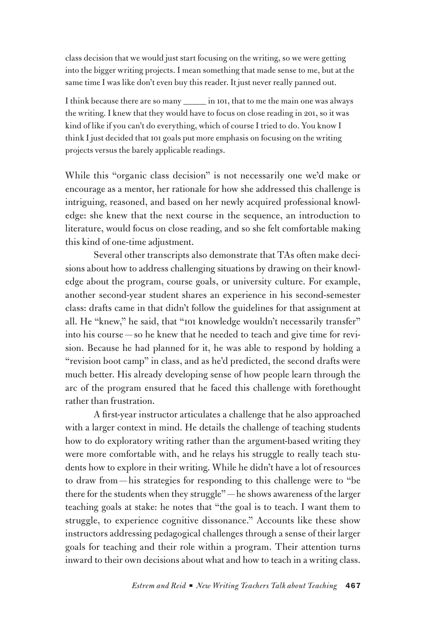class decision that we would just start focusing on the writing, so we were getting into the bigger writing projects. I mean something that made sense to me, but at the same time I was like don't even buy this reader. It just never really panned out.

I think because there are so many \_\_\_\_\_ in 101, that to me the main one was always the writing. I knew that they would have to focus on close reading in 201, so it was kind of like if you can't do everything, which of course I tried to do. You know I think I just decided that 101 goals put more emphasis on focusing on the writing projects versus the barely applicable readings.

While this "organic class decision" is not necessarily one we'd make or encourage as a mentor, her rationale for how she addressed this challenge is intriguing, reasoned, and based on her newly acquired professional knowledge: she knew that the next course in the sequence, an introduction to literature, would focus on close reading, and so she felt comfortable making this kind of one-time adjustment.

Several other transcripts also demonstrate that TAs often make decisions about how to address challenging situations by drawing on their knowledge about the program, course goals, or university culture. For example, another second-year student shares an experience in his second-semester class: drafts came in that didn't follow the guidelines for that assignment at all. He "knew," he said, that "101 knowledge wouldn't necessarily transfer" into his course—so he knew that he needed to teach and give time for revision. Because he had planned for it, he was able to respond by holding a "revision boot camp" in class, and as he'd predicted, the second drafts were much better. His already developing sense of how people learn through the arc of the program ensured that he faced this challenge with forethought rather than frustration.

A first-year instructor articulates a challenge that he also approached with a larger context in mind. He details the challenge of teaching students how to do exploratory writing rather than the argument-based writing they were more comfortable with, and he relays his struggle to really teach students how to explore in their writing. While he didn't have a lot of resources to draw from—his strategies for responding to this challenge were to "be there for the students when they struggle"—he shows awareness of the larger teaching goals at stake: he notes that "the goal is to teach. I want them to struggle, to experience cognitive dissonance." Accounts like these show instructors addressing pedagogical challenges through a sense of their larger goals for teaching and their role within a program. Their attention turns inward to their own decisions about what and how to teach in a writing class.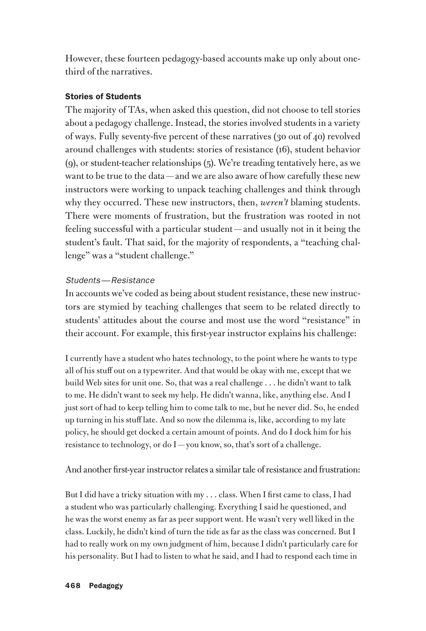However, these fourteen pedagogy-based accounts make up only about onethird of the narratives.

#### Stories of Students

The majority of TAs, when asked this question, did not choose to tell stories about a pedagogy challenge. Instead, the stories involved students in a variety of ways. Fully seventy-five percent of these narratives (30 out of 40) revolved around challenges with students: stories of resistance (16), student behavior (9), or student-teacher relationships (5). We're treading tentatively here, as we want to be true to the data—and we are also aware of how carefully these new instructors were working to unpack teaching challenges and think through why they occurred. These new instructors, then, *weren't* blaming students. There were moments of frustration, but the frustration was rooted in not feeling successful with a particular student—and usually not in it being the student's fault. That said, for the majority of respondents, a "teaching challenge" was a "student challenge."

#### *Students—Resistance*

In accounts we've coded as being about student resistance, these new instructors are stymied by teaching challenges that seem to be related directly to students' attitudes about the course and most use the word "resistance" in their account. For example, this first-year instructor explains his challenge:

I currently have a student who hates technology, to the point where he wants to type all of his stuff out on a typewriter. And that would be okay with me, except that we build Web sites for unit one. So, that was a real challenge . . . he didn't want to talk to me. He didn't want to seek my help. He didn't wanna, like, anything else. And I just sort of had to keep telling him to come talk to me, but he never did. So, he ended up turning in his stuff late. And so now the dilemma is, like, according to my late policy, he should get docked a certain amount of points. And do I dock him for his resistance to technology, or do I—you know, so, that's sort of a challenge.

#### And another first-year instructor relates a similar tale of resistance and frustration:

But I did have a tricky situation with my . . . class. When I first came to class, I had a student who was particularly challenging. Everything I said he questioned, and he was the worst enemy as far as peer support went. He wasn't very well liked in the class. Luckily, he didn't kind of turn the tide as far as the class was concerned. But I had to really work on my own judgment of him, because I didn't particularly care for his personality. But I had to listen to what he said, and I had to respond each time in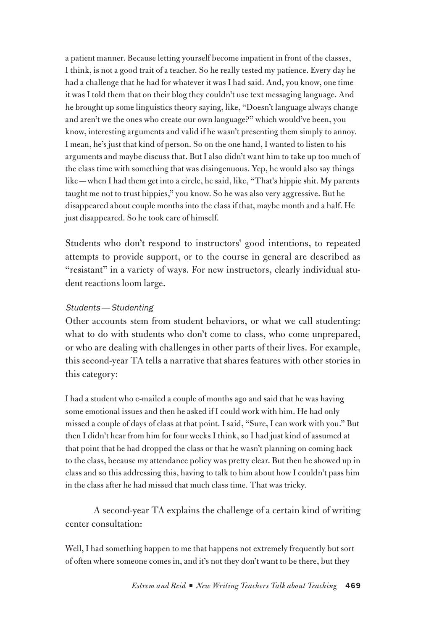a patient manner. Because letting yourself become impatient in front of the classes, I think, is not a good trait of a teacher. So he really tested my patience. Every day he had a challenge that he had for whatever it was I had said. And, you know, one time it was I told them that on their blog they couldn't use text messaging language. And he brought up some linguistics theory saying, like, "Doesn't language always change and aren't we the ones who create our own language?" which would've been, you know, interesting arguments and valid if he wasn't presenting them simply to annoy. I mean, he's just that kind of person. So on the one hand, I wanted to listen to his arguments and maybe discuss that. But I also didn't want him to take up too much of the class time with something that was disingenuous. Yep, he would also say things like—when I had them get into a circle, he said, like, "That's hippie shit. My parents taught me not to trust hippies," you know. So he was also very aggressive. But he disappeared about couple months into the class if that, maybe month and a half. He just disappeared. So he took care of himself.

Students who don't respond to instructors' good intentions, to repeated attempts to provide support, or to the course in general are described as "resistant" in a variety of ways. For new instructors, clearly individual student reactions loom large.

#### *Students—Studenting*

Other accounts stem from student behaviors, or what we call studenting: what to do with students who don't come to class, who come unprepared, or who are dealing with challenges in other parts of their lives. For example, this second-year TA tells a narrative that shares features with other stories in this category:

I had a student who e-mailed a couple of months ago and said that he was having some emotional issues and then he asked if I could work with him. He had only missed a couple of days of class at that point. I said, "Sure, I can work with you." But then I didn't hear from him for four weeks I think, so I had just kind of assumed at that point that he had dropped the class or that he wasn't planning on coming back to the class, because my attendance policy was pretty clear. But then he showed up in class and so this addressing this, having to talk to him about how I couldn't pass him in the class after he had missed that much class time. That was tricky.

A second-year TA explains the challenge of a certain kind of writing center consultation:

Well, I had something happen to me that happens not extremely frequently but sort of often where someone comes in, and it's not they don't want to be there, but they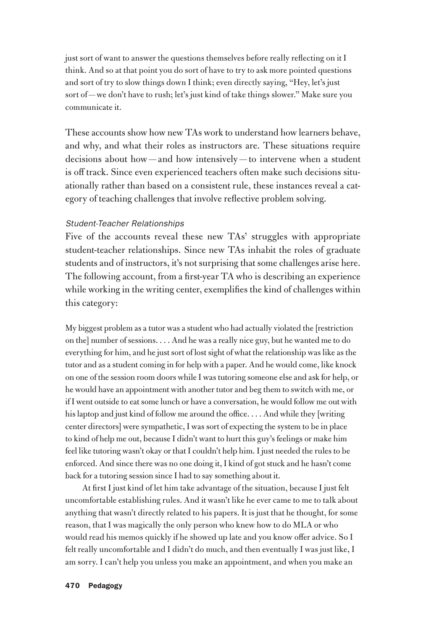just sort of want to answer the questions themselves before really reflecting on it I think. And so at that point you do sort of have to try to ask more pointed questions and sort of try to slow things down I think; even directly saying, "Hey, let's just sort of—we don't have to rush; let's just kind of take things slower." Make sure you communicate it.

These accounts show how new TAs work to understand how learners behave, and why, and what their roles as instructors are. These situations require decisions about how—and how intensively—to intervene when a student is off track. Since even experienced teachers often make such decisions situationally rather than based on a consistent rule, these instances reveal a category of teaching challenges that involve reflective problem solving.

#### *Student-Teacher Relationships*

Five of the accounts reveal these new TAs' struggles with appropriate student-teacher relationships. Since new TAs inhabit the roles of graduate students and of instructors, it's not surprising that some challenges arise here. The following account, from a first-year TA who is describing an experience while working in the writing center, exemplifies the kind of challenges within this category:

My biggest problem as a tutor was a student who had actually violated the [restriction on the] number of sessions. . . . And he was a really nice guy, but he wanted me to do everything for him, and he just sort of lost sight of what the relationship was like as the tutor and as a student coming in for help with a paper. And he would come, like knock on one of the session room doors while I was tutoring someone else and ask for help, or he would have an appointment with another tutor and beg them to switch with me, or if I went outside to eat some lunch or have a conversation, he would follow me out with his laptop and just kind of follow me around the office. . . . And while they [writing center directors] were sympathetic, I was sort of expecting the system to be in place to kind of help me out, because I didn't want to hurt this guy's feelings or make him feel like tutoring wasn't okay or that I couldn't help him. I just needed the rules to be enforced. And since there was no one doing it, I kind of got stuck and he hasn't come back for a tutoring session since I had to say something about it.

At first I just kind of let him take advantage of the situation, because I just felt uncomfortable establishing rules. And it wasn't like he ever came to me to talk about anything that wasn't directly related to his papers. It is just that he thought, for some reason, that I was magically the only person who knew how to do MLA or who would read his memos quickly if he showed up late and you know offer advice. So I felt really uncomfortable and I didn't do much, and then eventually I was just like, I am sorry. I can't help you unless you make an appointment, and when you make an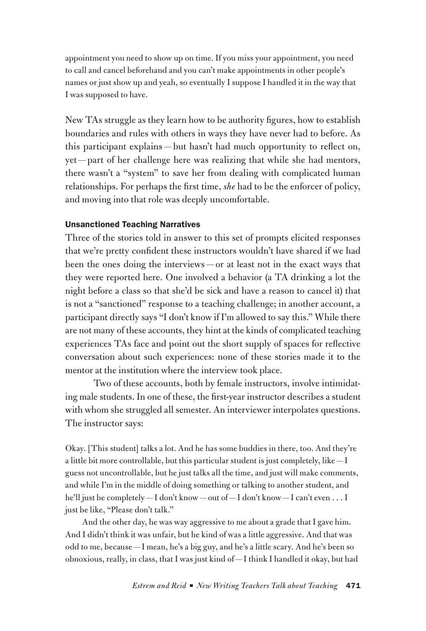appointment you need to show up on time. If you miss your appointment, you need to call and cancel beforehand and you can't make appointments in other people's names or just show up and yeah, so eventually I suppose I handled it in the way that I was supposed to have.

New TAs struggle as they learn how to be authority figures, how to establish boundaries and rules with others in ways they have never had to before. As this participant explains—but hasn't had much opportunity to reflect on, yet—part of her challenge here was realizing that while she had mentors, there wasn't a "system" to save her from dealing with complicated human relationships. For perhaps the first time, *she* had to be the enforcer of policy, and moving into that role was deeply uncomfortable.

#### Unsanctioned Teaching Narratives

Three of the stories told in answer to this set of prompts elicited responses that we're pretty confident these instructors wouldn't have shared if we had been the ones doing the interviews—or at least not in the exact ways that they were reported here. One involved a behavior (a TA drinking a lot the night before a class so that she'd be sick and have a reason to cancel it) that is not a "sanctioned" response to a teaching challenge; in another account, a participant directly says "I don't know if I'm allowed to say this." While there are not many of these accounts, they hint at the kinds of complicated teaching experiences TAs face and point out the short supply of spaces for reflective conversation about such experiences: none of these stories made it to the mentor at the institution where the interview took place.

Two of these accounts, both by female instructors, involve intimidating male students. In one of these, the first-year instructor describes a student with whom she struggled all semester. An interviewer interpolates questions. The instructor says:

Okay. [This student] talks a lot. And he has some buddies in there, too. And they're a little bit more controllable, but this particular student is just completely, like—I guess not uncontrollable, but he just talks all the time, and just will make comments, and while I'm in the middle of doing something or talking to another student, and he'll just be completely—I don't know—out of—I don't know—I can't even . . . I just be like, "Please don't talk."

And the other day, he was way aggressive to me about a grade that I gave him. And I didn't think it was unfair, but he kind of was a little aggressive. And that was odd to me, because—I mean, he's a big guy, and he's a little scary. And he's been so obnoxious, really, in class, that I was just kind of—I think I handled it okay, but had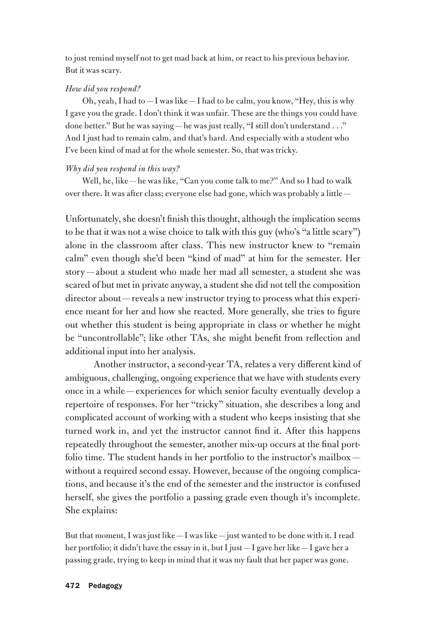to just remind myself not to get mad back at him, or react to his previous behavior. But it was scary.

#### *How did you respond?*

Oh, yeah, I had to—I was like—I had to be calm, you know, "Hey, this is why I gave you the grade. I don't think it was unfair. These are the things you could have done better." But he was saying—he was just really, "I still don't understand . . ." And I just had to remain calm, and that's hard. And especially with a student who I've been kind of mad at for the whole semester. So, that was tricky.

#### *Why did you respond in this way?*

Well, he, like—he was like, "Can you come talk to me?" And so I had to walk over there. It was after class; everyone else had gone, which was probably a little—

Unfortunately, she doesn't finish this thought, although the implication seems to be that it was not a wise choice to talk with this guy (who's "a little scary") alone in the classroom after class. This new instructor knew to "remain calm" even though she'd been "kind of mad" at him for the semester. Her story—about a student who made her mad all semester, a student she was scared of but met in private anyway, a student she did not tell the composition director about—reveals a new instructor trying to process what this experience meant for her and how she reacted. More generally, she tries to figure out whether this student is being appropriate in class or whether he might be "uncontrollable"; like other TAs, she might benefit from reflection and additional input into her analysis.

Another instructor, a second-year TA, relates a very different kind of ambiguous, challenging, ongoing experience that we have with students every once in a while—experiences for which senior faculty eventually develop a repertoire of responses. For her "tricky" situation, she describes a long and complicated account of working with a student who keeps insisting that she turned work in, and yet the instructor cannot find it. After this happens repeatedly throughout the semester, another mix-up occurs at the final portfolio time. The student hands in her portfolio to the instructor's mailbox without a required second essay. However, because of the ongoing complications, and because it's the end of the semester and the instructor is confused herself, she gives the portfolio a passing grade even though it's incomplete. She explains:

But that moment, I was just like—I was like—just wanted to be done with it. I read her portfolio; it didn't have the essay in it, but I just—I gave her like—I gave her a passing grade, trying to keep in mind that it was my fault that her paper was gone.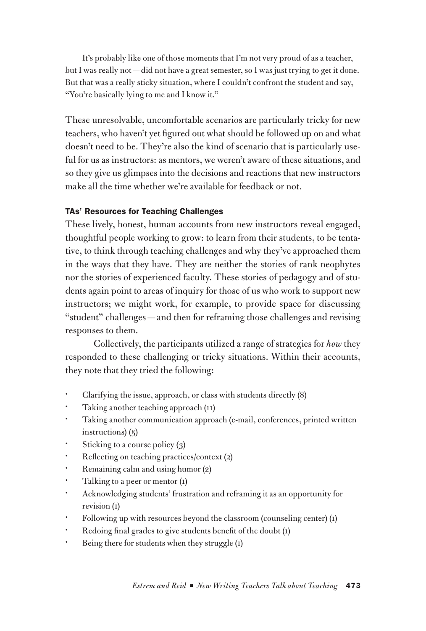It's probably like one of those moments that I'm not very proud of as a teacher, but I was really not—did not have a great semester, so I was just trying to get it done. But that was a really sticky situation, where I couldn't confront the student and say, "You're basically lying to me and I know it."

These unresolvable, uncomfortable scenarios are particularly tricky for new teachers, who haven't yet figured out what should be followed up on and what doesn't need to be. They're also the kind of scenario that is particularly useful for us as instructors: as mentors, we weren't aware of these situations, and so they give us glimpses into the decisions and reactions that new instructors make all the time whether we're available for feedback or not.

#### TAs' Resources for Teaching Challenges

These lively, honest, human accounts from new instructors reveal engaged, thoughtful people working to grow: to learn from their students, to be tentative, to think through teaching challenges and why they've approached them in the ways that they have. They are neither the stories of rank neophytes nor the stories of experienced faculty. These stories of pedagogy and of students again point to areas of inquiry for those of us who work to support new instructors; we might work, for example, to provide space for discussing "student" challenges—and then for reframing those challenges and revising responses to them.

Collectively, the participants utilized a range of strategies for *how* they responded to these challenging or tricky situations. Within their accounts, they note that they tried the following:

- Clarifying the issue, approach, or class with students directly (8)
- Taking another teaching approach (11)
- Taking another communication approach (e-mail, conferences, printed written instructions) (5)
- Sticking to a course policy (3)
- Reflecting on teaching practices/context (2)
- Remaining calm and using humor (2)
- Talking to a peer or mentor  $(i)$
- Acknowledging students' frustration and reframing it as an opportunity for revision (1)
- Following up with resources beyond the classroom (counseling center) (1)
- Redoing final grades to give students benefit of the doubt (1)
- Being there for students when they struggle (1)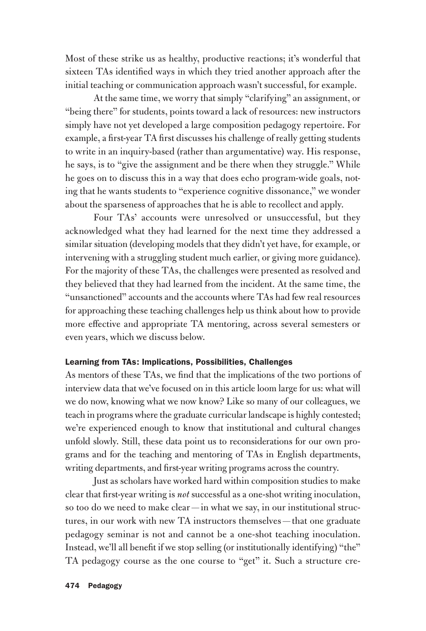Most of these strike us as healthy, productive reactions; it's wonderful that sixteen TAs identified ways in which they tried another approach after the initial teaching or communication approach wasn't successful, for example.

At the same time, we worry that simply "clarifying" an assignment, or "being there" for students, points toward a lack of resources: new instructors simply have not yet developed a large composition pedagogy repertoire. For example, a first-year TA first discusses his challenge of really getting students to write in an inquiry-based (rather than argumentative) way. His response, he says, is to "give the assignment and be there when they struggle." While he goes on to discuss this in a way that does echo program-wide goals, noting that he wants students to "experience cognitive dissonance," we wonder about the sparseness of approaches that he is able to recollect and apply.

Four TAs' accounts were unresolved or unsuccessful, but they acknowledged what they had learned for the next time they addressed a similar situation (developing models that they didn't yet have, for example, or intervening with a struggling student much earlier, or giving more guidance). For the majority of these TAs, the challenges were presented as resolved and they believed that they had learned from the incident. At the same time, the "unsanctioned" accounts and the accounts where TAs had few real resources for approaching these teaching challenges help us think about how to provide more effective and appropriate TA mentoring, across several semesters or even years, which we discuss below.

#### Learning from TAs: Implications, Possibilities, Challenges

As mentors of these TAs, we find that the implications of the two portions of interview data that we've focused on in this article loom large for us: what will we do now, knowing what we now know? Like so many of our colleagues, we teach in programs where the graduate curricular landscape is highly contested; we're experienced enough to know that institutional and cultural changes unfold slowly. Still, these data point us to reconsiderations for our own programs and for the teaching and mentoring of TAs in English departments, writing departments, and first-year writing programs across the country.

Just as scholars have worked hard within composition studies to make clear that first-year writing is *not* successful as a one-shot writing inoculation, so too do we need to make clear—in what we say, in our institutional structures, in our work with new TA instructors themselves—that one graduate pedagogy seminar is not and cannot be a one-shot teaching inoculation. Instead, we'll all benefit if we stop selling (or institutionally identifying) "the" TA pedagogy course as the one course to "get" it. Such a structure cre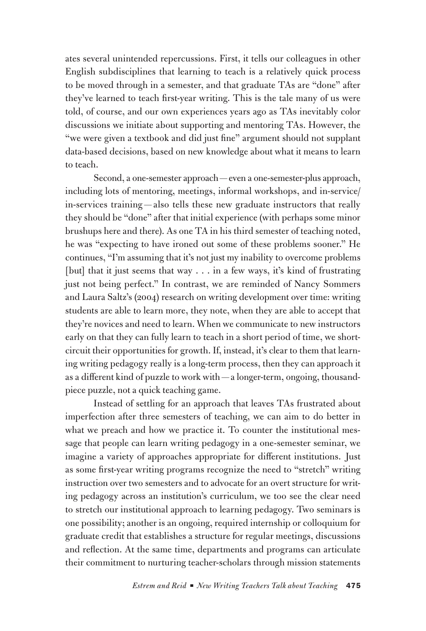ates several unintended repercussions. First, it tells our colleagues in other English subdisciplines that learning to teach is a relatively quick process to be moved through in a semester, and that graduate TAs are "done" after they've learned to teach first-year writing. This is the tale many of us were told, of course, and our own experiences years ago as TAs inevitably color discussions we initiate about supporting and mentoring TAs. However, the "we were given a textbook and did just fine" argument should not supplant data-based decisions, based on new knowledge about what it means to learn to teach.

Second, a one-semester approach—even a one-semester-plus approach, including lots of mentoring, meetings, informal workshops, and in-service/ in-services training—also tells these new graduate instructors that really they should be "done" after that initial experience (with perhaps some minor brushups here and there). As one TA in his third semester of teaching noted, he was "expecting to have ironed out some of these problems sooner." He continues, "I'm assuming that it's not just my inability to overcome problems [but] that it just seems that way . . . in a few ways, it's kind of frustrating just not being perfect." In contrast, we are reminded of Nancy Sommers and Laura Saltz's (2004) research on writing development over time: writing students are able to learn more, they note, when they are able to accept that they're novices and need to learn. When we communicate to new instructors early on that they can fully learn to teach in a short period of time, we shortcircuit their opportunities for growth. If, instead, it's clear to them that learning writing pedagogy really is a long-term process, then they can approach it as a different kind of puzzle to work with—a longer-term, ongoing, thousandpiece puzzle, not a quick teaching game.

Instead of settling for an approach that leaves TAs frustrated about imperfection after three semesters of teaching, we can aim to do better in what we preach and how we practice it. To counter the institutional message that people can learn writing pedagogy in a one-semester seminar, we imagine a variety of approaches appropriate for different institutions. Just as some first-year writing programs recognize the need to "stretch" writing instruction over two semesters and to advocate for an overt structure for writing pedagogy across an institution's curriculum, we too see the clear need to stretch our institutional approach to learning pedagogy. Two seminars is one possibility; another is an ongoing, required internship or colloquium for graduate credit that establishes a structure for regular meetings, discussions and reflection. At the same time, departments and programs can articulate their commitment to nurturing teacher-scholars through mission statements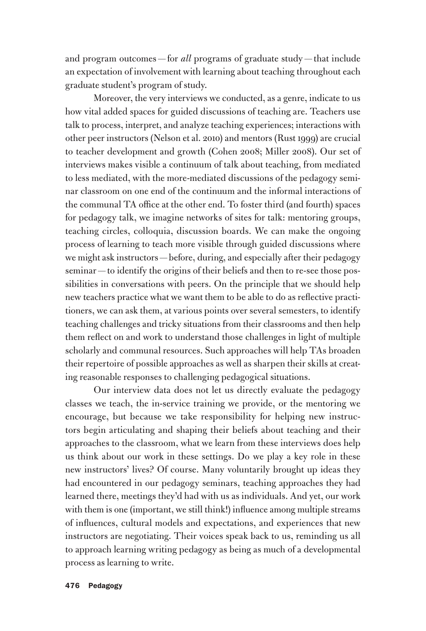and program outcomes—for *all* programs of graduate study—that include an expectation of involvement with learning about teaching throughout each graduate student's program of study.

Moreover, the very interviews we conducted, as a genre, indicate to us how vital added spaces for guided discussions of teaching are. Teachers use talk to process, interpret, and analyze teaching experiences; interactions with other peer instructors (Nelson et al. 2010) and mentors (Rust 1999) are crucial to teacher development and growth (Cohen 2008; Miller 2008). Our set of interviews makes visible a continuum of talk about teaching, from mediated to less mediated, with the more-mediated discussions of the pedagogy seminar classroom on one end of the continuum and the informal interactions of the communal TA office at the other end. To foster third (and fourth) spaces for pedagogy talk, we imagine networks of sites for talk: mentoring groups, teaching circles, colloquia, discussion boards. We can make the ongoing process of learning to teach more visible through guided discussions where we might ask instructors—before, during, and especially after their pedagogy seminar—to identify the origins of their beliefs and then to re-see those possibilities in conversations with peers. On the principle that we should help new teachers practice what we want them to be able to do as reflective practitioners, we can ask them, at various points over several semesters, to identify teaching challenges and tricky situations from their classrooms and then help them reflect on and work to understand those challenges in light of multiple scholarly and communal resources. Such approaches will help TAs broaden their repertoire of possible approaches as well as sharpen their skills at creating reasonable responses to challenging pedagogical situations.

Our interview data does not let us directly evaluate the pedagogy classes we teach, the in-service training we provide, or the mentoring we encourage, but because we take responsibility for helping new instructors begin articulating and shaping their beliefs about teaching and their approaches to the classroom, what we learn from these interviews does help us think about our work in these settings. Do we play a key role in these new instructors' lives? Of course. Many voluntarily brought up ideas they had encountered in our pedagogy seminars, teaching approaches they had learned there, meetings they'd had with us as individuals. And yet, our work with them is one (important, we still think!) influence among multiple streams of influences, cultural models and expectations, and experiences that new instructors are negotiating. Their voices speak back to us, reminding us all to approach learning writing pedagogy as being as much of a developmental process as learning to write.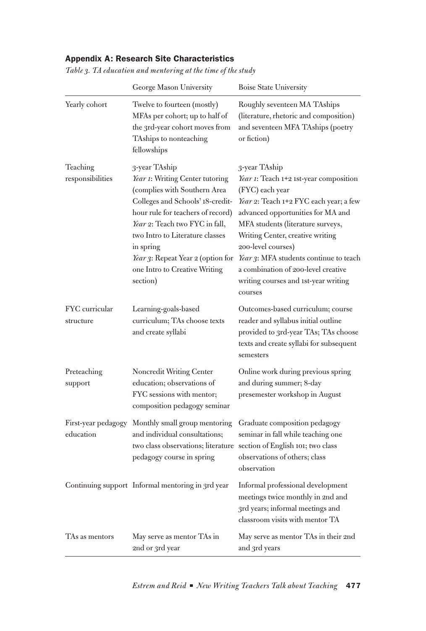#### Appendix A: Research Site Characteristics

|                              | George Mason University                                                                                                                                                                                                                                                                                                       | <b>Boise State University</b>                                                                                                                                                                                                                                                                                                                                                                |
|------------------------------|-------------------------------------------------------------------------------------------------------------------------------------------------------------------------------------------------------------------------------------------------------------------------------------------------------------------------------|----------------------------------------------------------------------------------------------------------------------------------------------------------------------------------------------------------------------------------------------------------------------------------------------------------------------------------------------------------------------------------------------|
| Yearly cohort                | Twelve to fourteen (mostly)<br>MFAs per cohort; up to half of<br>the 3rd-year cohort moves from<br>TAships to nonteaching<br>fellowships                                                                                                                                                                                      | Roughly seventeen MA TAships<br>(literature, rhetoric and composition)<br>and seventeen MFA TAships (poetry<br>or fiction)                                                                                                                                                                                                                                                                   |
| Teaching<br>responsibilities | 3-year TAship<br>Year 1: Writing Center tutoring<br>(complies with Southern Area<br>Colleges and Schools' 18-credit-<br>hour rule for teachers of record)<br>Year 2: Teach two FYC in fall,<br>two Intro to Literature classes<br>in spring<br>Year 3: Repeat Year 2 (option for<br>one Intro to Creative Writing<br>section) | 3-year TAship<br>Year 1: Teach 1+2 1st-year composition<br>(FYC) each year<br>Year 2: Teach 1+2 FYC each year; a few<br>advanced opportunities for MA and<br>MFA students (literature surveys,<br>Writing Center, creative writing<br>200-level courses)<br>Year 3: MFA students continue to teach<br>a combination of 200-level creative<br>writing courses and 1st-year writing<br>courses |
| FYC curricular<br>structure  | Learning-goals-based<br>curriculum; TAs choose texts<br>and create syllabi                                                                                                                                                                                                                                                    | Outcomes-based curriculum; course<br>reader and syllabus initial outline<br>provided to 3rd-year TAs; TAs choose<br>texts and create syllabi for subsequent<br>semesters                                                                                                                                                                                                                     |
| Preteaching<br>support       | Noncredit Writing Center<br>education; observations of<br>FYC sessions with mentor;<br>composition pedagogy seminar                                                                                                                                                                                                           | Online work during previous spring<br>and during summer; 8-day<br>presemester workshop in August                                                                                                                                                                                                                                                                                             |
| education                    | First-year pedagogy Monthly small group mentoring<br>and individual consultations;<br>two class observations; literature<br>pedagogy course in spring                                                                                                                                                                         | Graduate composition pedagogy<br>seminar in fall while teaching one<br>section of English 101; two class<br>observations of others; class<br>observation                                                                                                                                                                                                                                     |
|                              | Continuing support Informal mentoring in 3rd year                                                                                                                                                                                                                                                                             | Informal professional development<br>meetings twice monthly in 2nd and<br>3rd years; informal meetings and<br>classroom visits with mentor TA                                                                                                                                                                                                                                                |
| TAs as mentors               | May serve as mentor TAs in<br>2nd or 3rd year                                                                                                                                                                                                                                                                                 | May serve as mentor TAs in their 2nd<br>and 3rd years                                                                                                                                                                                                                                                                                                                                        |

*Table 3. TA education and mentoring at the time of the study*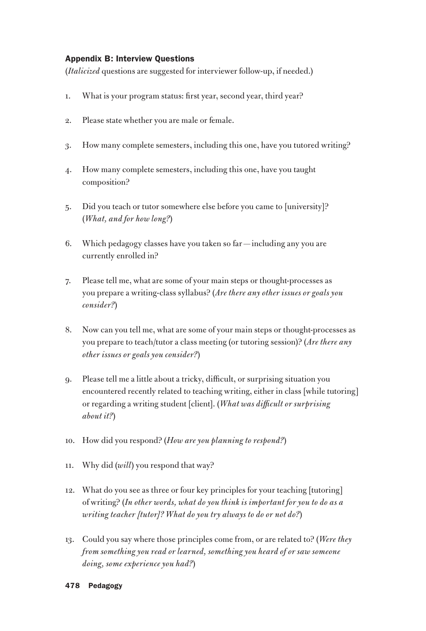#### Appendix B: Interview Questions

(*Italicized* questions are suggested for interviewer follow-up, if needed.)

- 1. What is your program status: first year, second year, third year?
- 2. Please state whether you are male or female.
- 3. How many complete semesters, including this one, have you tutored writing?
- 4. How many complete semesters, including this one, have you taught composition?
- 5. Did you teach or tutor somewhere else before you came to [university]? (*What, and for how long?*)
- 6. Which pedagogy classes have you taken so far—including any you are currently enrolled in?
- 7. Please tell me, what are some of your main steps or thought-processes as you prepare a writing-class syllabus? (*Are there any other issues or goals you consider?*)
- 8. Now can you tell me, what are some of your main steps or thought-processes as you prepare to teach/tutor a class meeting (or tutoring session)? (*Are there any other issues or goals you consider?*)
- 9. Please tell me a little about a tricky, difficult, or surprising situation you encountered recently related to teaching writing, either in class [while tutoring] or regarding a writing student [client]. (*What was difficult or surprising about it?*)
- 10. How did you respond? (*How are you planning to respond?*)
- 11. Why did (*will*) you respond that way?
- 12. What do you see as three or four key principles for your teaching [tutoring] of writing? (*In other words, what do you think is important for you to do as a writing teacher [tutor]? What do you try always to do or not do?*)
- 13. Could you say where those principles come from, or are related to? (*Were they from something you read or learned, something you heard of or saw someone doing, some experience you had?*)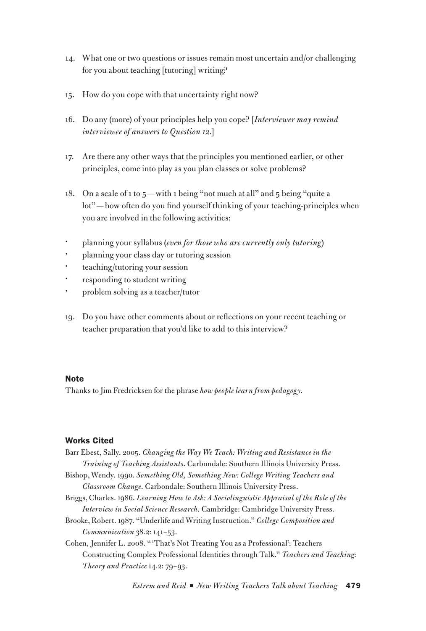- 14. What one or two questions or issues remain most uncertain and/or challenging for you about teaching [tutoring] writing?
- 15. How do you cope with that uncertainty right now?
- 16. Do any (more) of your principles help you cope? [*Interviewer may remind interviewee of answers to Question 12*.]
- 17. Are there any other ways that the principles you mentioned earlier, or other principles, come into play as you plan classes or solve problems?
- 18. On a scale of 1 to 5—with 1 being "not much at all" and 5 being "quite a lot"—how often do you find yourself thinking of your teaching-principles when you are involved in the following activities:
- planning your syllabus (*even for those who are currently only tutoring*)
- planning your class day or tutoring session
- teaching/tutoring your session
- responding to student writing
- problem solving as a teacher/tutor
- 19. Do you have other comments about or reflections on your recent teaching or teacher preparation that you'd like to add to this interview?

#### **Note**

Thanks to Jim Fredricksen for the phrase *how people learn from pedagogy*.

#### Works Cited

- Barr Ebest, Sally. 2005. *Changing the Way We Teach: Writing and Resistance in the Training of Teaching Assistants*. Carbondale: Southern Illinois University Press.
- Bishop, Wendy. 1990. *Something Old, Something New: College Writing Teachers and Classroom Change*. Carbondale: Southern Illinois University Press.
- Briggs, Charles. 1986. *Learning How to Ask: A Sociolinguistic Appraisal of the Role of the Interview in Social Science Research*. Cambridge: Cambridge University Press.
- Brooke, Robert. 1987. "Underlife and Writing Instruction." *College Composition and Communication* 38.2: 141–53.
- Cohen, Jennifer L. 2008. " 'That's Not Treating You as a Professional': Teachers Constructing Complex Professional Identities through Talk." *Teachers and Teaching: Theory and Practice* 14.2: 79–93.